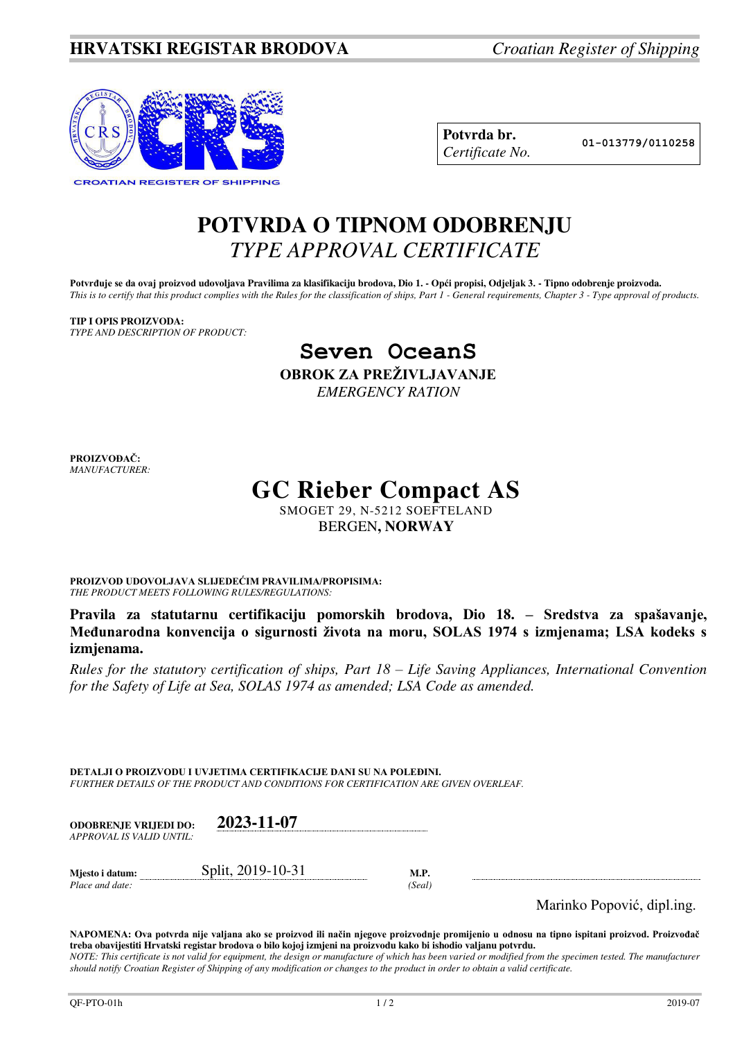

**Potvrda br. 01-013779/0110258** *Certificate No.* 

## **POTVRDA O TIPNOM ODOBRENJU**  *TYPE APPROVAL CERTIFICATE*

Potvrđuje se da ovaj proizvod udovoljava Pravilima za klasifikaciju brodova, Dio 1. - Opći propisi, Odjeljak 3. - Tipno odobrenje proizvoda. *This is to certify that this product complies with the Rules for the classification of ships, Part 1 - General requirements, Chapter 3 - Type approval of products.* 

**TIP I OPIS PROIZVODA:** *TYPE AND DESCRIPTION OF PRODUCT:* 

## **Seven OceanS**

**OBROK ZA PREŽIVLJAVANJE**

*EMERGENCY RATION* 

**PROIZVOĐAČ:** *MANUFACTURER:*

## **GC Rieber Compact AS**

SMOGET 29, N-5212 SOEFTELAND BERGEN**, NORWAY**

**PROIZVOD UDOVOLJAVA SLIJEDEĆIM PRAVILIMA/PROPISIMA:** *THE PRODUCT MEETS FOLLOWING RULES/REGULATIONS:* 

**Pravila za statutarnu certifikaciju pomorskih brodova, Dio 18. – Sredstva za spašavanje, Međunarodna konvencija o sigurnosti života na moru, SOLAS 1974 s izmjenama; LSA kodeks s izmjenama.** 

*Rules for the statutory certification of ships, Part 18 – Life Saving Appliances, International Convention for the Safety of Life at Sea, SOLAS 1974 as amended; LSA Code as amended.* 

**DETALJI O PROIZVODU I UVJETIMA CERTIFIKACIJE DANI SU NA POLEĐINI.** *FURTHER DETAILS OF THE PRODUCT AND CONDITIONS FOR CERTIFICATION ARE GIVEN OVERLEAF.* 

| <b>ODOBRENJE VRLJEDI DO:</b><br>APPROVAL IS VALID UNTIL: | 2023-11-07        |                |
|----------------------------------------------------------|-------------------|----------------|
| Mjesto i datum:<br>Place and date:                       | Split, 2019-10-31 | M.P.<br>'Seal) |

Marinko Popović, dipl.ing.

**NAPOMENA: Ova potvrda nije valjana ako se proizvod ili način njegove proizvodnje promijenio u odnosu na tipno ispitani proizvod. Proizvođač treba obavijestiti Hrvatski registar brodova o bilo kojoj izmjeni na proizvodu kako bi ishodio valjanu potvrdu.**  *NOTE: This certificate is not valid for equipment, the design or manufacture of which has been varied or modified from the specimen tested. The manufacturer should notify Croatian Register of Shipping of any modification or changes to the product in order to obtain a valid certificate.*